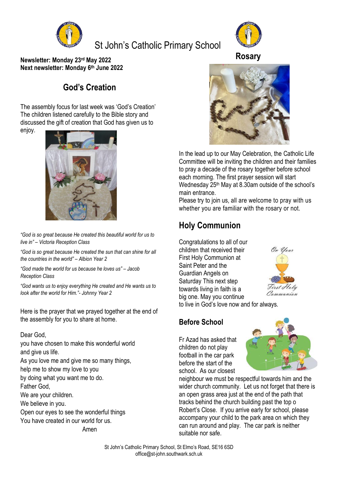

# St John's Catholic Primary School



**Newsletter: Monday 23rd May 2022 Next newsletter: Monday 6 th June 2022**

## **God's Creation**

The assembly focus for last week was 'God's Creation' The children listened carefully to the Bible story and discussed the gift of creation that God has given us to enjoy.



*"God is so great because He created this beautiful world for us to live in" – Victoria Reception Class*

*"God is so great because He created the sun that can shine for all the countries in the world" – Albion Year 2*

*"God made the world for us because he loves us" – Jacob Reception Class*

*"God wants us to enjoy everything He created and He wants us to look after the world for Him."- Johnny Year 2*

Here is the prayer that we prayed together at the end of the assembly for you to share at home.

#### Dear God,

you have chosen to make this wonderful world and give us life.

As you love me and give me so many things,

help me to show my love to you

by doing what you want me to do.

Father God,

We are your children.

We believe in you.

Open our eyes to see the wonderful things

You have created in our world for us.

Amen



In the lead up to our May Celebration, the Catholic Life Committee will be inviting the children and their families to pray a decade of the rosary together before school each morning. The first prayer session will start Wednesday 25 th May at 8.30am outside of the school's main entrance.

Please try to join us, all are welcome to pray with us whether you are familiar with the rosary or not.

## **Holy Communion**

Congratulations to all of our children that received their First Holy Communion at Saint Peter and the Guardian Angels on Saturday This next step towards living in faith is a big one. May you continue



to live in God's love now and for always.

#### **Before School**

Fr Azad has asked that children do not play football in the car park before the start of the school. As our closest



neighbour we must be respectful towards him and the wider church community. Let us not forget that there is an open grass area just at the end of the path that tracks behind the church building past the top o Robert's Close. If you arrive early for school, please accompany your child to the park area on which they can run around and play. The car park is neither suitable nor safe.

**Rosary**